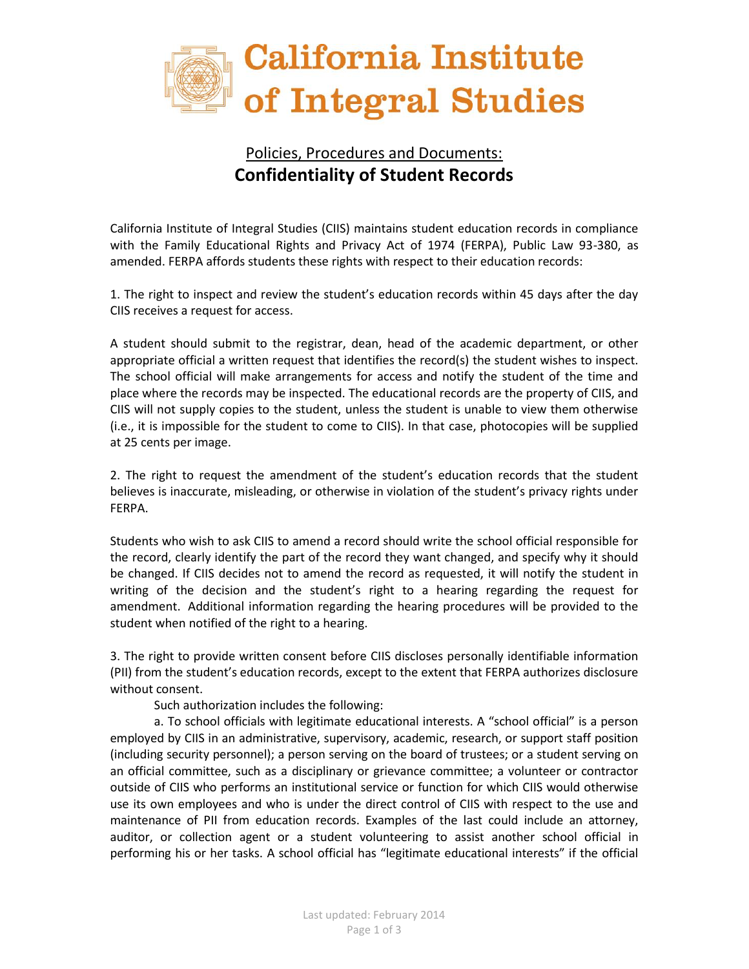

## Policies, Procedures and Documents: **Confidentiality of Student Records**

California Institute of Integral Studies (CIIS) maintains student education records in compliance with the Family Educational Rights and Privacy Act of 1974 (FERPA), Public Law 93-380, as amended. FERPA affords students these rights with respect to their education records:

1. The right to inspect and review the student's education records within 45 days after the day CIIS receives a request for access.

A student should submit to the registrar, dean, head of the academic department, or other appropriate official a written request that identifies the record(s) the student wishes to inspect. The school official will make arrangements for access and notify the student of the time and place where the records may be inspected. The educational records are the property of CIIS, and CIIS will not supply copies to the student, unless the student is unable to view them otherwise (i.e., it is impossible for the student to come to CIIS). In that case, photocopies will be supplied at 25 cents per image.

2. The right to request the amendment of the student's education records that the student believes is inaccurate, misleading, or otherwise in violation of the student's privacy rights under FERPA.

Students who wish to ask CIIS to amend a record should write the school official responsible for the record, clearly identify the part of the record they want changed, and specify why it should be changed. If CIIS decides not to amend the record as requested, it will notify the student in writing of the decision and the student's right to a hearing regarding the request for amendment. Additional information regarding the hearing procedures will be provided to the student when notified of the right to a hearing.

3. The right to provide written consent before CIIS discloses personally identifiable information (PII) from the student's education records, except to the extent that FERPA authorizes disclosure without consent.

Such authorization includes the following:

a. To school officials with legitimate educational interests. A "school official" is a person employed by CIIS in an administrative, supervisory, academic, research, or support staff position (including security personnel); a person serving on the board of trustees; or a student serving on an official committee, such as a disciplinary or grievance committee; a volunteer or contractor outside of CIIS who performs an institutional service or function for which CIIS would otherwise use its own employees and who is under the direct control of CIIS with respect to the use and maintenance of PII from education records. Examples of the last could include an attorney, auditor, or collection agent or a student volunteering to assist another school official in performing his or her tasks. A school official has "legitimate educational interests" if the official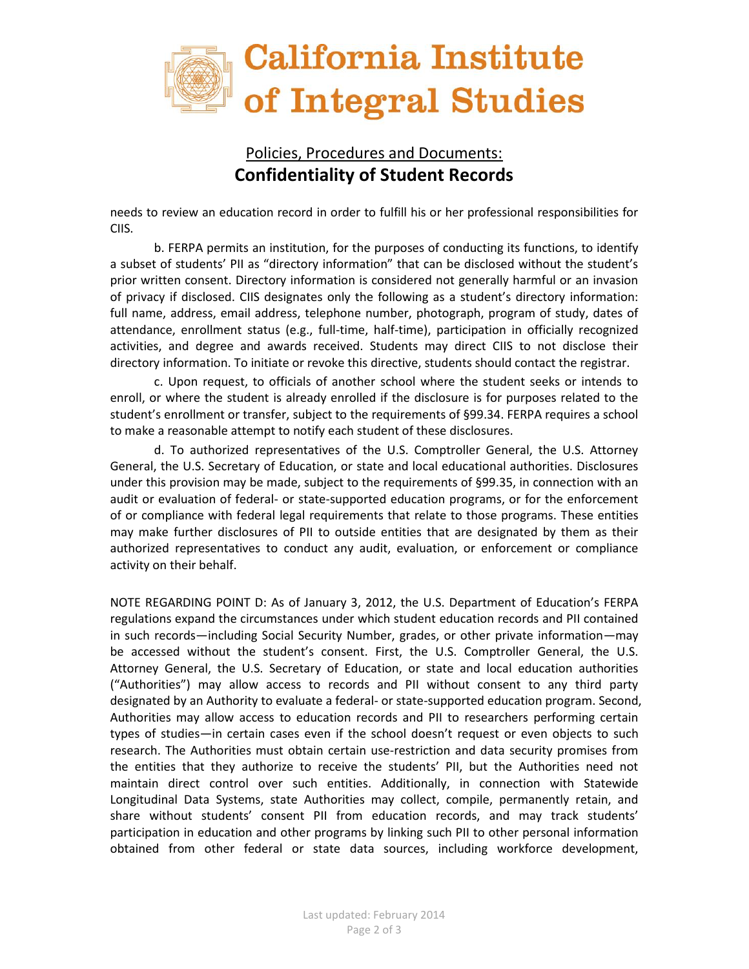

## Policies, Procedures and Documents: **Confidentiality of Student Records**

needs to review an education record in order to fulfill his or her professional responsibilities for CIIS.

b. FERPA permits an institution, for the purposes of conducting its functions, to identify a subset of students' PII as "directory information" that can be disclosed without the student's prior written consent. Directory information is considered not generally harmful or an invasion of privacy if disclosed. CIIS designates only the following as a student's directory information: full name, address, email address, telephone number, photograph, program of study, dates of attendance, enrollment status (e.g., full-time, half-time), participation in officially recognized activities, and degree and awards received. Students may direct CIIS to not disclose their directory information. To initiate or revoke this directive, students should contact the registrar.

c. Upon request, to officials of another school where the student seeks or intends to enroll, or where the student is already enrolled if the disclosure is for purposes related to the student's enrollment or transfer, subject to the requirements of §99.34. FERPA requires a school to make a reasonable attempt to notify each student of these disclosures.

d. To authorized representatives of the U.S. Comptroller General, the U.S. Attorney General, the U.S. Secretary of Education, or state and local educational authorities. Disclosures under this provision may be made, subject to the requirements of §99.35, in connection with an audit or evaluation of federal- or state-supported education programs, or for the enforcement of or compliance with federal legal requirements that relate to those programs. These entities may make further disclosures of PII to outside entities that are designated by them as their authorized representatives to conduct any audit, evaluation, or enforcement or compliance activity on their behalf.

NOTE REGARDING POINT D: As of January 3, 2012, the U.S. Department of Education's FERPA regulations expand the circumstances under which student education records and PII contained in such records—including Social Security Number, grades, or other private information—may be accessed without the student's consent. First, the U.S. Comptroller General, the U.S. Attorney General, the U.S. Secretary of Education, or state and local education authorities ("Authorities") may allow access to records and PII without consent to any third party designated by an Authority to evaluate a federal- or state-supported education program. Second, Authorities may allow access to education records and PII to researchers performing certain types of studies—in certain cases even if the school doesn't request or even objects to such research. The Authorities must obtain certain use-restriction and data security promises from the entities that they authorize to receive the students' PII, but the Authorities need not maintain direct control over such entities. Additionally, in connection with Statewide Longitudinal Data Systems, state Authorities may collect, compile, permanently retain, and share without students' consent PII from education records, and may track students' participation in education and other programs by linking such PII to other personal information obtained from other federal or state data sources, including workforce development,